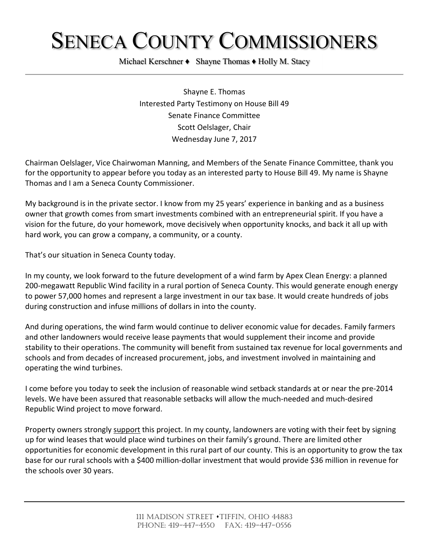## SENECA COUNTY COMMISSIONERS

Michael Kerschner ♦ Shayne Thomas ♦ Holly M. Stacy

Shayne E. Thomas Interested Party Testimony on House Bill 49 Senate Finance Committee Scott Oelslager, Chair Wednesday June 7, 2017

Chairman Oelslager, Vice Chairwoman Manning, and Members of the Senate Finance Committee, thank you for the opportunity to appear before you today as an interested party to House Bill 49. My name is Shayne Thomas and I am a Seneca County Commissioner.

My background is in the private sector. I know from my 25 years' experience in banking and as a business owner that growth comes from smart investments combined with an entrepreneurial spirit. If you have a vision for the future, do your homework, move decisively when opportunity knocks, and back it all up with hard work, you can grow a company, a community, or a county.

That's our situation in Seneca County today.

In my county, we look forward to the future development of a wind farm by Apex Clean Energy: a planned 200-megawatt Republic Wind facility in a rural portion of Seneca County. This would generate enough energy to power 57,000 homes and represent a large investment in our tax base. It would create hundreds of jobs during construction and infuse millions of dollars in into the county.

And during operations, the wind farm would continue to deliver economic value for decades. Family farmers and other landowners would receive lease payments that would supplement their income and provide stability to their operations. The community will benefit from sustained tax revenue for local governments and schools and from decades of increased procurement, jobs, and investment involved in maintaining and operating the wind turbines.

I come before you today to seek the inclusion of reasonable wind setback standards at or near the pre-2014 levels. We have been assured that reasonable setbacks will allow the much-needed and much-desired Republic Wind project to move forward.

Property owners strongly support this project. In my county, landowners are voting with their feet by signing up for wind leases that would place wind turbines on their family's ground. There are limited other opportunities for economic development in this rural part of our county. This is an opportunity to grow the tax base for our rural schools with a \$400 million-dollar investment that would provide \$36 million in revenue for the schools over 30 years.